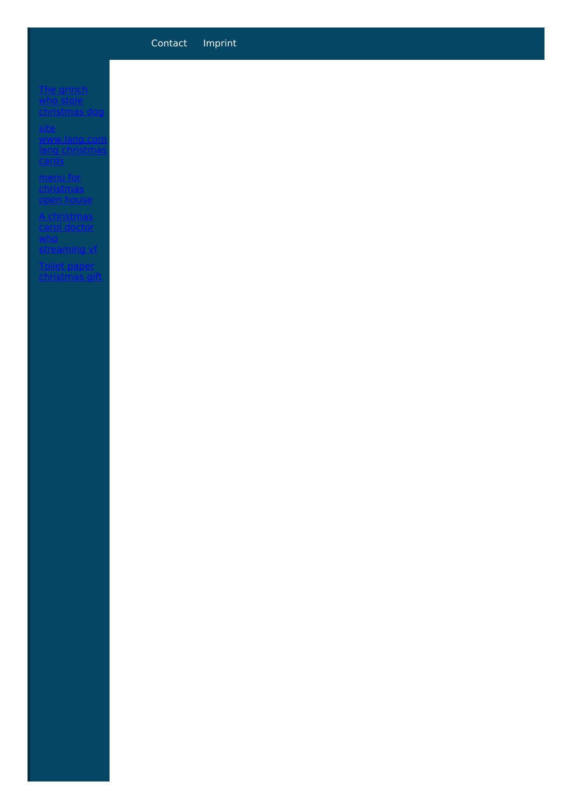## Contact Imprint

[www.lang.com](http://foto-ms.pl/detail/news/287027/chrismas/) lang christmas

streaming vf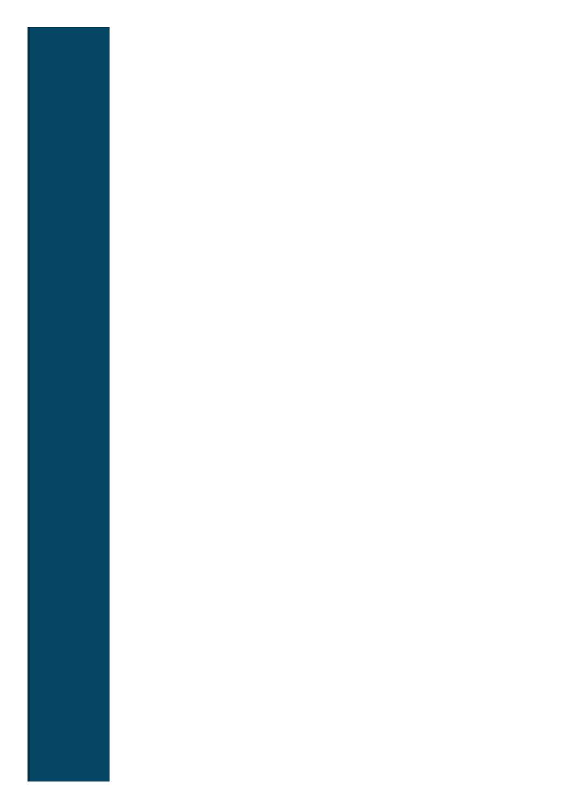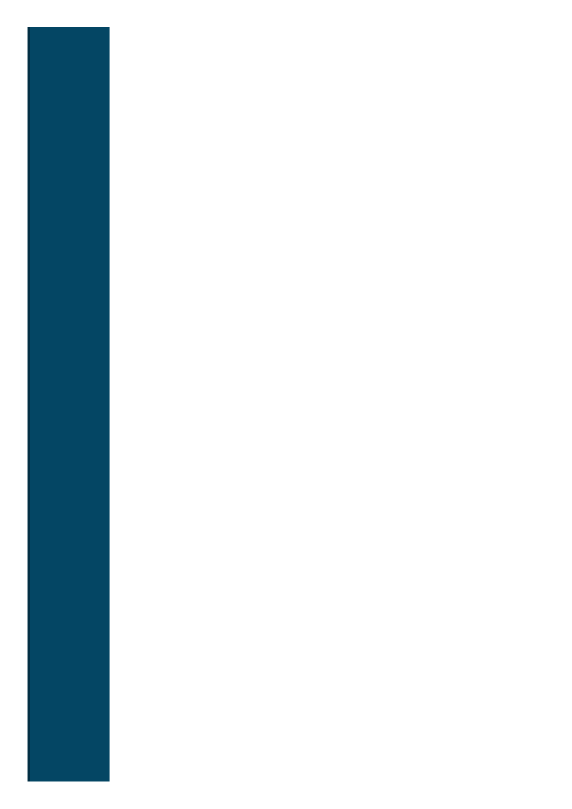